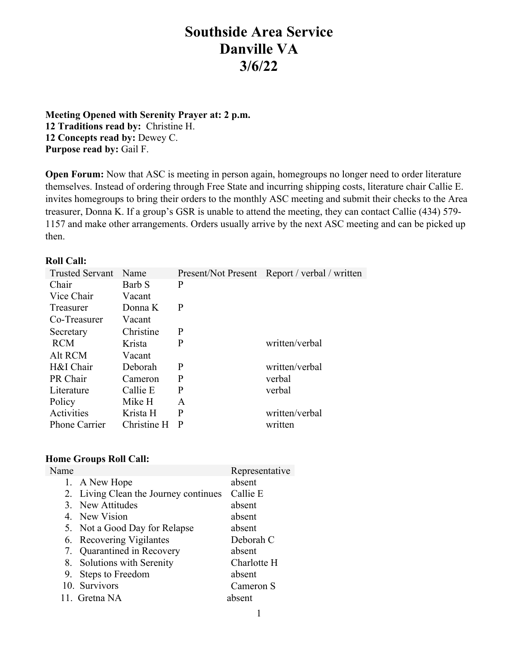# **Southside Area Service Danville VA 3/6/22**

**Meeting Opened with Serenity Prayer at: 2 p.m. 12 Traditions read by:** Christine H. **12 Concepts read by:** Dewey C. **Purpose read by:** Gail F.

**Open Forum:** Now that ASC is meeting in person again, homegroups no longer need to order literature themselves. Instead of ordering through Free State and incurring shipping costs, literature chair Callie E. invites homegroups to bring their orders to the monthly ASC meeting and submit their checks to the Area treasurer, Donna K. If a group's GSR is unable to attend the meeting, they can contact Callie (434) 579- 1157 and make other arrangements. Orders usually arrive by the next ASC meeting and can be picked up then.

#### **Roll Call:**

| <b>Trusted Servant</b> | Name        |   | Present/Not Present Report / verbal / written |
|------------------------|-------------|---|-----------------------------------------------|
| Chair                  | Barb S      | P |                                               |
| Vice Chair             | Vacant      |   |                                               |
| Treasurer              | Donna K     | P |                                               |
| Co-Treasurer           | Vacant      |   |                                               |
| Secretary              | Christine   | P |                                               |
| <b>RCM</b>             | Krista      | P | written/verbal                                |
| Alt RCM                | Vacant      |   |                                               |
| H&I Chair              | Deborah     | P | written/verbal                                |
| PR Chair               | Cameron     | P | verbal                                        |
| Literature             | Callie E    | P | verbal                                        |
| Policy                 | Mike H      | A |                                               |
| Activities             | Krista H    | P | written/verbal                                |
| Phone Carrier          | Christine H | P | written                                       |

#### **Home Groups Roll Call:**

| Representative                                                                                                                                                                                                                                                                |
|-------------------------------------------------------------------------------------------------------------------------------------------------------------------------------------------------------------------------------------------------------------------------------|
| absent                                                                                                                                                                                                                                                                        |
| Callie E                                                                                                                                                                                                                                                                      |
| absent                                                                                                                                                                                                                                                                        |
| absent                                                                                                                                                                                                                                                                        |
| absent                                                                                                                                                                                                                                                                        |
| Deborah C                                                                                                                                                                                                                                                                     |
| absent                                                                                                                                                                                                                                                                        |
| Charlotte H                                                                                                                                                                                                                                                                   |
| absent                                                                                                                                                                                                                                                                        |
| Cameron S                                                                                                                                                                                                                                                                     |
| absent                                                                                                                                                                                                                                                                        |
| 1. A New Hope<br>2. Living Clean the Journey continues<br>3. New Attitudes<br>4. New Vision<br>5. Not a Good Day for Relapse<br>6. Recovering Vigilantes<br>7. Quarantined in Recovery<br>8. Solutions with Serenity<br>9. Steps to Freedom<br>10. Survivors<br>11. Gretna NA |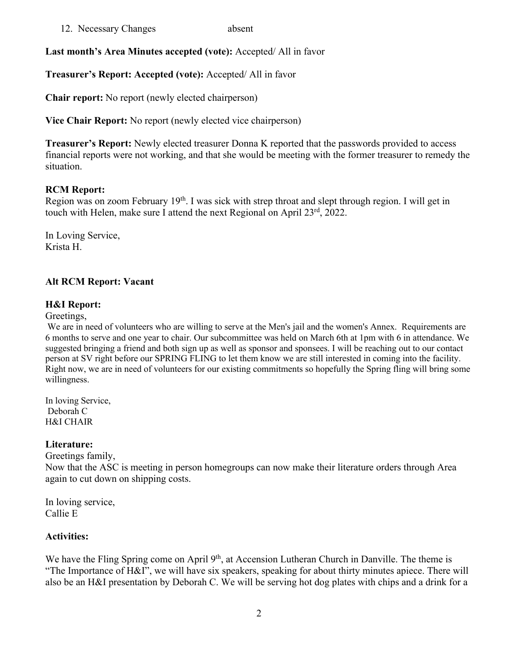12. Necessary Changes absent

**Last month's Area Minutes accepted (vote):** Accepted/ All in favor

**Treasurer's Report: Accepted (vote):** Accepted/ All in favor

**Chair report:** No report (newly elected chairperson)

**Vice Chair Report:** No report (newly elected vice chairperson)

**Treasurer's Report:** Newly elected treasurer Donna K reported that the passwords provided to access financial reports were not working, and that she would be meeting with the former treasurer to remedy the situation.

## **RCM Report:**

Region was on zoom February 19<sup>th</sup>. I was sick with strep throat and slept through region. I will get in touch with Helen, make sure I attend the next Regional on April 23<sup>rd</sup>, 2022.

In Loving Service, Krista H.

# **Alt RCM Report: Vacant**

## **H&I Report:**

Greetings,

We are in need of volunteers who are willing to serve at the Men's jail and the women's Annex. Requirements are 6 months to serve and one year to chair. Our subcommittee was held on March 6th at 1pm with 6 in attendance. We suggested bringing a friend and both sign up as well as sponsor and sponsees. I will be reaching out to our contact person at SV right before our SPRING FLING to let them know we are still interested in coming into the facility. Right now, we are in need of volunteers for our existing commitments so hopefully the Spring fling will bring some willingness.

In loving Service, Deborah C H&I CHAIR

# **Literature:**

Greetings family,

Now that the ASC is meeting in person homegroups can now make their literature orders through Area again to cut down on shipping costs.

In loving service, Callie E

# **Activities:**

We have the Fling Spring come on April 9<sup>th</sup>, at Accension Lutheran Church in Danville. The theme is "The Importance of H&I", we will have six speakers, speaking for about thirty minutes apiece. There will also be an H&I presentation by Deborah C. We will be serving hot dog plates with chips and a drink for a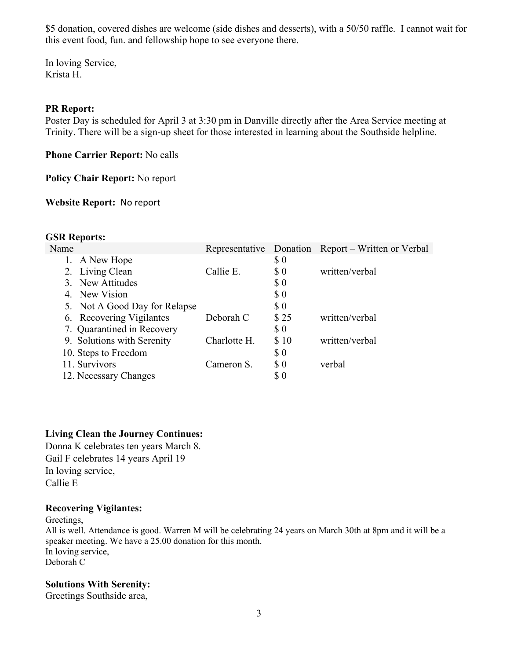\$5 donation, covered dishes are welcome (side dishes and desserts), with a 50/50 raffle. I cannot wait for this event food, fun. and fellowship hope to see everyone there.

In loving Service, Krista H.

#### **PR Report:**

Poster Day is scheduled for April 3 at 3:30 pm in Danville directly after the Area Service meeting at Trinity. There will be a sign-up sheet for those interested in learning about the Southside helpline.

**Phone Carrier Report:** No calls

**Policy Chair Report:** No report

**Website Report:** No report

#### **GSR Reports:**

|              |                             | Representative Donation Report – Written or Verbal |
|--------------|-----------------------------|----------------------------------------------------|
|              | $\boldsymbol{\mathsf{S}}$ 0 |                                                    |
| Callie E.    | $\boldsymbol{\mathsf{S}}$ 0 | written/verbal                                     |
|              | $\boldsymbol{\mathsf{S}}$ 0 |                                                    |
|              | $\boldsymbol{\$}\ 0$        |                                                    |
|              | \$0                         |                                                    |
| Deborah C    | \$25                        | written/verbal                                     |
|              | $\boldsymbol{\$}\ 0$        |                                                    |
| Charlotte H. | \$10                        | written/verbal                                     |
|              | $\boldsymbol{\$}\ 0$        |                                                    |
| Cameron S.   | $\boldsymbol{\mathsf{S}}$ 0 | verbal                                             |
|              | $\$0$                       |                                                    |
|              |                             |                                                    |

#### **Living Clean the Journey Continues:**

Donna K celebrates ten years March 8. Gail F celebrates 14 years April 19 In loving service, Callie E

#### **Recovering Vigilantes:**

Greetings, All is well. Attendance is good. Warren M will be celebrating 24 years on March 30th at 8pm and it will be a speaker meeting. We have a 25.00 donation for this month. In loving service, Deborah C

#### **Solutions With Serenity:**

Greetings Southside area,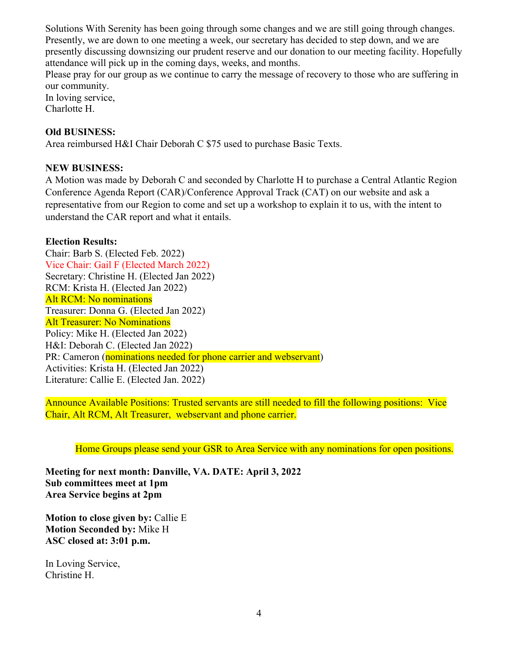Solutions With Serenity has been going through some changes and we are still going through changes. Presently, we are down to one meeting a week, our secretary has decided to step down, and we are presently discussing downsizing our prudent reserve and our donation to our meeting facility. Hopefully attendance will pick up in the coming days, weeks, and months.

Please pray for our group as we continue to carry the message of recovery to those who are suffering in our community.

In loving service, Charlotte H.

## **Old BUSINESS:**

Area reimbursed H&I Chair Deborah C \$75 used to purchase Basic Texts.

### **NEW BUSINESS:**

A Motion was made by Deborah C and seconded by Charlotte H to purchase a Central Atlantic Region Conference Agenda Report (CAR)/Conference Approval Track (CAT) on our website and ask a representative from our Region to come and set up a workshop to explain it to us, with the intent to understand the CAR report and what it entails.

#### **Election Results:**

Chair: Barb S. (Elected Feb. 2022) Vice Chair: Gail F (Elected March 2022) Secretary: Christine H. (Elected Jan 2022) RCM: Krista H. (Elected Jan 2022) Alt RCM: No nominations Treasurer: Donna G. (Elected Jan 2022) Alt Treasurer: No Nominations Policy: Mike H. (Elected Jan 2022) H&I: Deborah C. (Elected Jan 2022) PR: Cameron (nominations needed for phone carrier and webservant) Activities: Krista H. (Elected Jan 2022) Literature: Callie E. (Elected Jan. 2022)

Announce Available Positions: Trusted servants are still needed to fill the following positions: Vice Chair, Alt RCM, Alt Treasurer, webservant and phone carrier.

Home Groups please send your GSR to Area Service with any nominations for open positions.

**Meeting for next month: Danville, VA. DATE: April 3, 2022 Sub committees meet at 1pm Area Service begins at 2pm**

**Motion to close given by:** Callie E **Motion Seconded by:** Mike H **ASC closed at: 3:01 p.m.**

In Loving Service, Christine H.